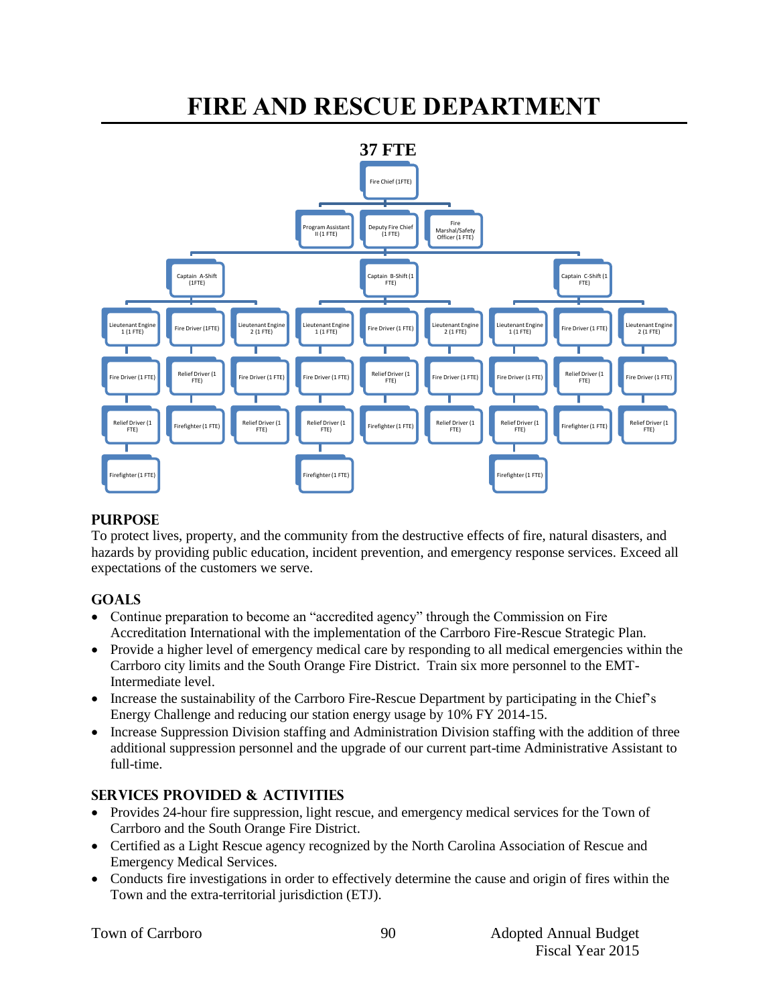# **FIRE AND RESCUE DEPARTMENT**



#### **PURPOSE**

To protect lives, property, and the community from the destructive effects of fire, natural disasters, and hazards by providing public education, incident prevention, and emergency response services. Exceed all expectations of the customers we serve.

## **GOALS**

- Continue preparation to become an "accredited agency" through the Commission on Fire Accreditation International with the implementation of the Carrboro Fire-Rescue Strategic Plan.
- Provide a higher level of emergency medical care by responding to all medical emergencies within the Carrboro city limits and the South Orange Fire District. Train six more personnel to the EMT-Intermediate level.
- Increase the sustainability of the Carrboro Fire-Rescue Department by participating in the Chief's Energy Challenge and reducing our station energy usage by 10% FY 2014-15.
- Increase Suppression Division staffing and Administration Division staffing with the addition of three additional suppression personnel and the upgrade of our current part-time Administrative Assistant to full-time.

## **SERVICES PROVIDED & ACTIVITIES**

- Provides 24-hour fire suppression, light rescue, and emergency medical services for the Town of Carrboro and the South Orange Fire District.
- Certified as a Light Rescue agency recognized by the North Carolina Association of Rescue and Emergency Medical Services.
- Conducts fire investigations in order to effectively determine the cause and origin of fires within the Town and the extra-territorial jurisdiction (ETJ).

90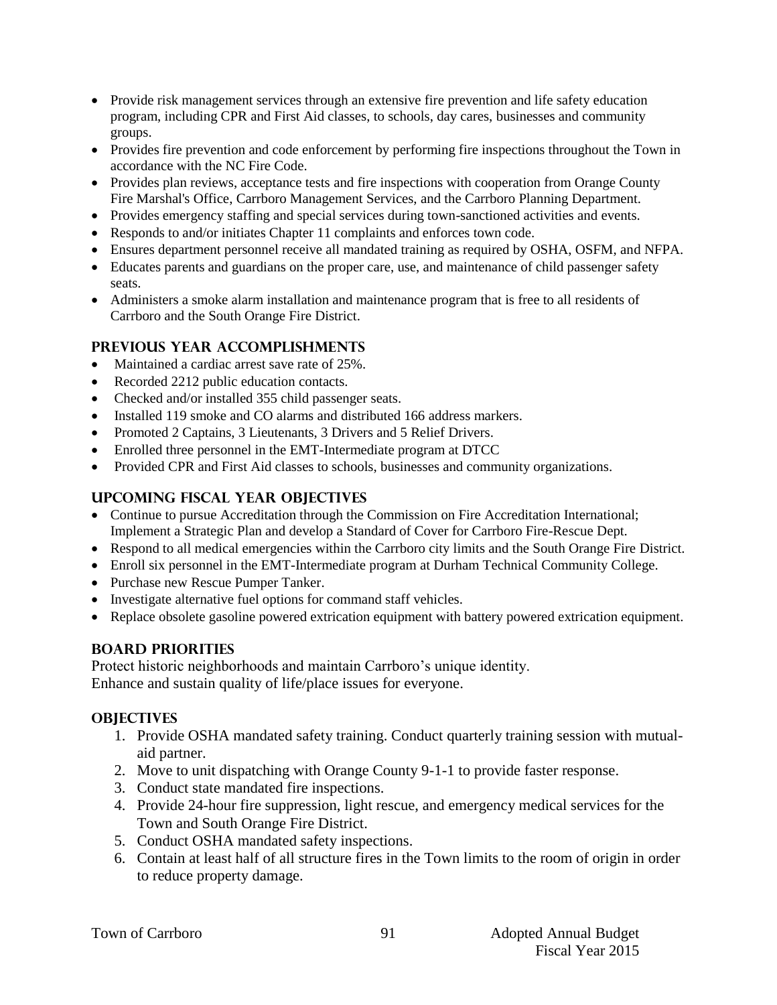- Provide risk management services through an extensive fire prevention and life safety education program, including CPR and First Aid classes, to schools, day cares, businesses and community groups.
- Provides fire prevention and code enforcement by performing fire inspections throughout the Town in accordance with the NC Fire Code.
- Provides plan reviews, acceptance tests and fire inspections with cooperation from Orange County Fire Marshal's Office, Carrboro Management Services, and the Carrboro Planning Department.
- Provides emergency staffing and special services during town-sanctioned activities and events.
- Responds to and/or initiates Chapter 11 complaints and enforces town code.
- Ensures department personnel receive all mandated training as required by OSHA, OSFM, and NFPA.
- Educates parents and guardians on the proper care, use, and maintenance of child passenger safety seats.
- Administers a smoke alarm installation and maintenance program that is free to all residents of Carrboro and the South Orange Fire District.

## **PREVIOUS YEAR ACCOMPLISHMENTS**

- Maintained a cardiac arrest save rate of 25%.
- Recorded 2212 public education contacts.
- Checked and/or installed 355 child passenger seats.
- Installed 119 smoke and CO alarms and distributed 166 address markers.
- Promoted 2 Captains, 3 Lieutenants, 3 Drivers and 5 Relief Drivers.
- Enrolled three personnel in the EMT-Intermediate program at DTCC
- Provided CPR and First Aid classes to schools, businesses and community organizations.

## **UPCOMING FISCAL YEAR OBJECTIVES**

- Continue to pursue Accreditation through the Commission on Fire Accreditation International; Implement a Strategic Plan and develop a Standard of Cover for Carrboro Fire-Rescue Dept.
- Respond to all medical emergencies within the Carrboro city limits and the South Orange Fire District.
- Enroll six personnel in the EMT-Intermediate program at Durham Technical Community College.
- Purchase new Rescue Pumper Tanker.
- Investigate alternative fuel options for command staff vehicles.
- Replace obsolete gasoline powered extrication equipment with battery powered extrication equipment.

## **BOARD PRIORITIES**

Protect historic neighborhoods and maintain Carrboro's unique identity.

Enhance and sustain quality of life/place issues for everyone.

## **OBJECTIVES**

- 1. Provide OSHA mandated safety training. Conduct quarterly training session with mutualaid partner.
- 2. Move to unit dispatching with Orange County 9-1-1 to provide faster response.
- 3. Conduct state mandated fire inspections.
- 4. Provide 24-hour fire suppression, light rescue, and emergency medical services for the Town and South Orange Fire District.
- 5. Conduct OSHA mandated safety inspections.
- 6. Contain at least half of all structure fires in the Town limits to the room of origin in order to reduce property damage.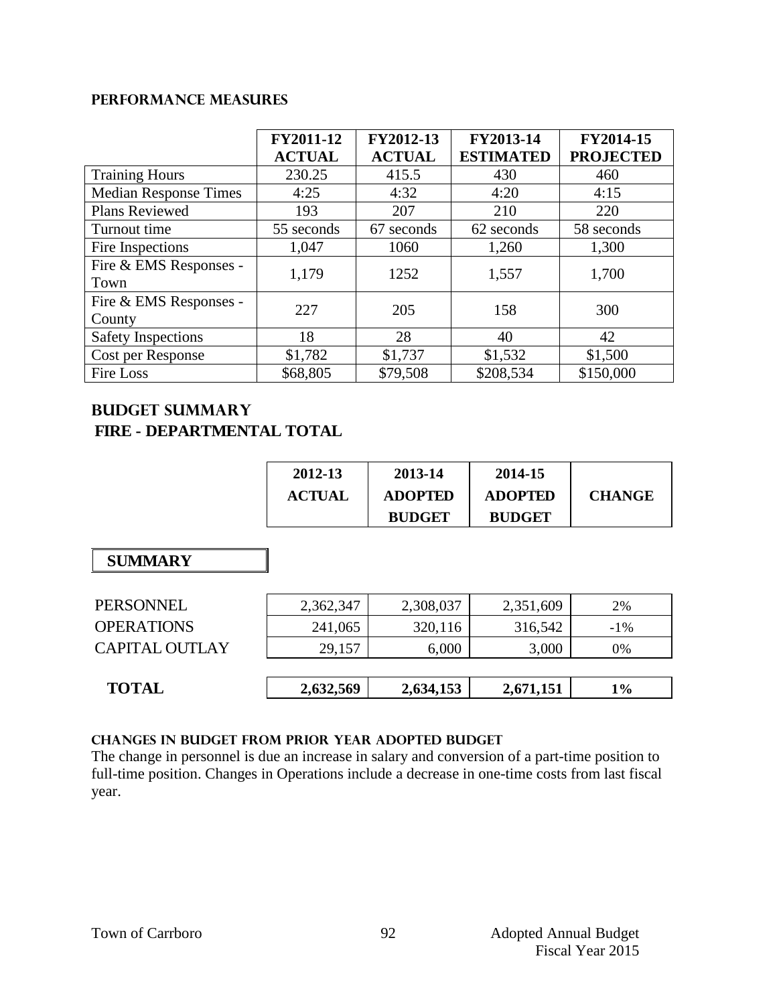#### **Performance Measures**

|                                  | FY2011-12<br><b>ACTUAL</b> | FY2012-13<br><b>ACTUAL</b> | FY2013-14<br><b>ESTIMATED</b> | FY2014-15<br><b>PROJECTED</b> |
|----------------------------------|----------------------------|----------------------------|-------------------------------|-------------------------------|
| <b>Training Hours</b>            | 230.25                     | 415.5                      | 430                           | 460                           |
| <b>Median Response Times</b>     | 4:25                       | 4:32                       | 4:20                          | 4:15                          |
| Plans Reviewed                   | 193                        | 207                        | 210                           | 220                           |
| Turnout time                     | 55 seconds                 | 67 seconds                 | 62 seconds                    | 58 seconds                    |
| Fire Inspections                 | 1,047                      | 1060                       | 1,260                         | 1,300                         |
| Fire & EMS Responses -<br>Town   | 1,179                      | 1252                       | 1,557                         | 1,700                         |
| Fire & EMS Responses -<br>County | 227                        | 205                        | 158                           | 300                           |
| <b>Safety Inspections</b>        | 18                         | 28                         | 40                            | 42                            |
| Cost per Response                | \$1,782                    | \$1,737                    | \$1,532                       | \$1,500                       |
| <b>Fire Loss</b>                 | \$68,805                   | \$79,508                   | \$208,534                     | \$150,000                     |

## **Budget summary FIRE - DEPARTMENTAL TOTAL**

| 2012-13       | 2013-14        | 2014-15        |               |
|---------------|----------------|----------------|---------------|
| <b>ACTUAL</b> | <b>ADOPTED</b> | <b>ADOPTED</b> | <b>CHANGE</b> |
|               | <b>BUDGET</b>  | <b>BUDGET</b>  |               |

## **SUMMARY**

| <b>SUMMARY</b>        |           |           |           |        |
|-----------------------|-----------|-----------|-----------|--------|
| <b>PERSONNEL</b>      | 2,362,347 | 2,308,037 | 2,351,609 | 2%     |
| <b>OPERATIONS</b>     | 241,065   | 320,116   | 316,542   | $-1\%$ |
| <b>CAPITAL OUTLAY</b> | 29,157    | 6,000     | 3,000     | 0%     |
|                       |           |           |           |        |
| <b>TOTAL</b>          | 2,632,569 | 2,634,153 | 2,671,151 | $1\%$  |

## **CHANGES IN BUDGET from PRIOR YEAR ADOPTED BUDGET**

The change in personnel is due an increase in salary and conversion of a part-time position to full-time position. Changes in Operations include a decrease in one-time costs from last fiscal year.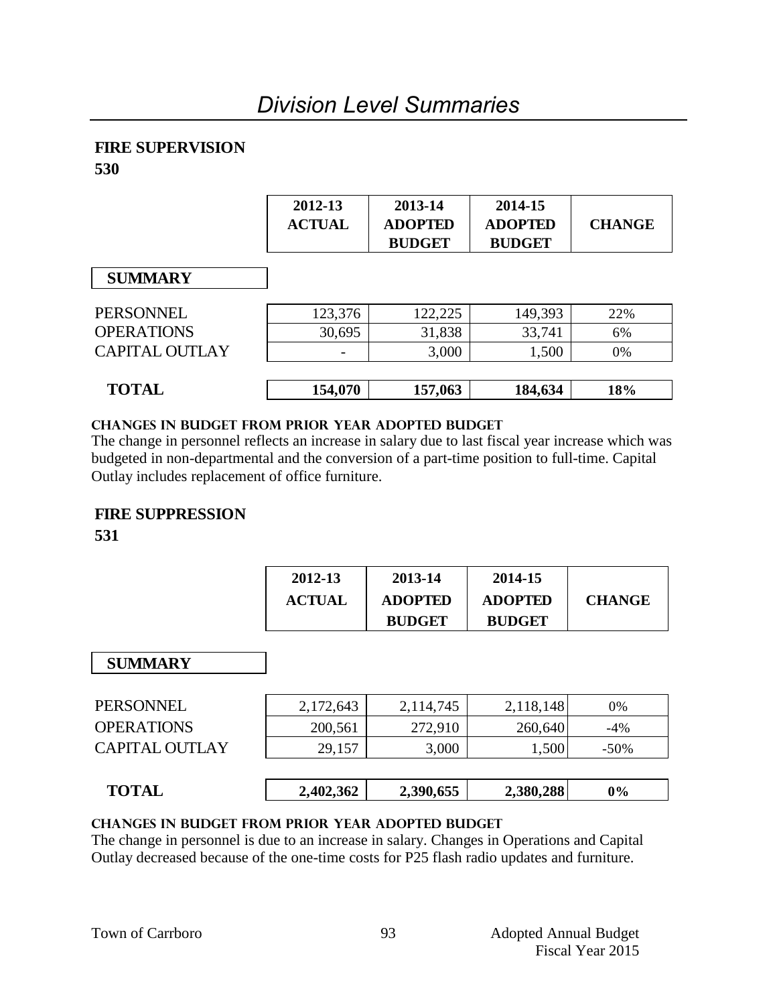## **FIRE SUPERVISION**

**530**

|                       | 2012-13<br><b>ACTUAL</b> | 2013-14<br><b>ADOPTED</b><br><b>BUDGET</b> | 2014-15<br><b>ADOPTED</b><br><b>BUDGET</b> | <b>CHANGE</b> |
|-----------------------|--------------------------|--------------------------------------------|--------------------------------------------|---------------|
| <b>SUMMARY</b>        |                          |                                            |                                            |               |
| <b>PERSONNEL</b>      | 123,376                  | 122,225                                    | 149,393                                    | 22%           |
| <b>OPERATIONS</b>     | 30,695                   | 31,838                                     | 33,741                                     | 6%            |
| <b>CAPITAL OUTLAY</b> |                          | 3,000                                      | 1,500                                      | 0%            |
| <b>TOTAL</b>          | 154,070                  | 157,063                                    | 184,634                                    | 18%           |

## **changes in budget from prior year adopted budget**

The change in personnel reflects an increase in salary due to last fiscal year increase which was budgeted in non-departmental and the conversion of a part-time position to full-time. Capital Outlay includes replacement of office furniture.

## **FIRE SUPPRESSION**

**531**

| 2012-13       | 2013-14        | 2014-15        |               |
|---------------|----------------|----------------|---------------|
| <b>ACTUAL</b> | <b>ADOPTED</b> | <b>ADOPTED</b> | <b>CHANGE</b> |
|               | <b>BUDGET</b>  | <b>BUDGET</b>  |               |

## **SUMMARY**

| <b>SUMMARY</b>        |           |           |           |         |
|-----------------------|-----------|-----------|-----------|---------|
| <b>PERSONNEL</b>      | 2,172,643 | 2,114,745 | 2,118,148 | 0%      |
| <b>OPERATIONS</b>     | 200,561   | 272,910   | 260,640   | $-4%$   |
| <b>CAPITAL OUTLAY</b> | 29,157    | 3,000     | 1,500     | $-50\%$ |
|                       |           |           |           |         |
| <b>TOTAL</b>          | 2,402,362 | 2,390,655 | 2,380,288 | 0%      |

| $\Lambda$ T<br>Tи.<br>$\sim$ - $\sim$ - $\sim$ | ,402,362<br>∸∙ | 0,655<br>390 | 2,380,288 | 9% |  |
|------------------------------------------------|----------------|--------------|-----------|----|--|
|                                                |                |              |           |    |  |

## **changes in budget from prior year adopted budget**

The change in personnel is due to an increase in salary. Changes in Operations and Capital Outlay decreased because of the one-time costs for P25 flash radio updates and furniture.